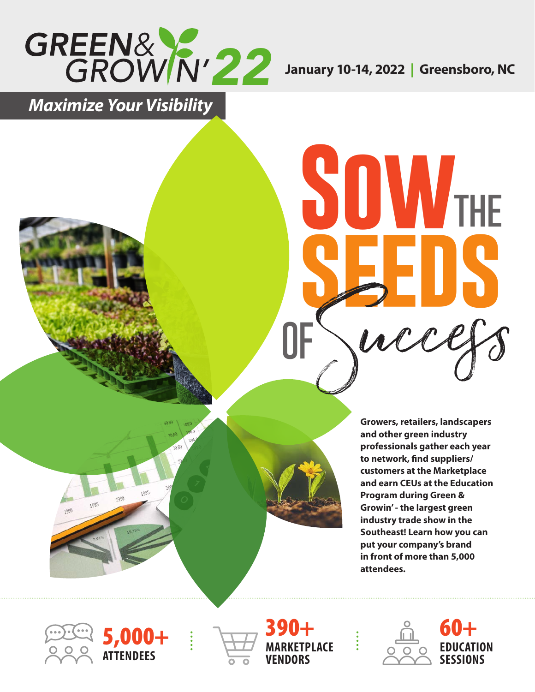

**Sowthe**

**OF**Success

**seeds**

*Maximize Your Visibility*

**Growers, retailers, landscapers and other green industry professionals gather each year to network, find suppliers/ customers at the Marketplace and earn CEUs at the Education Program during Green & Growin' - the largest green industry trade show in the Southeast! Learn how you can put your company's brand in front of more than 5,000 attendees.**

5,000+ **ATTENDEES**





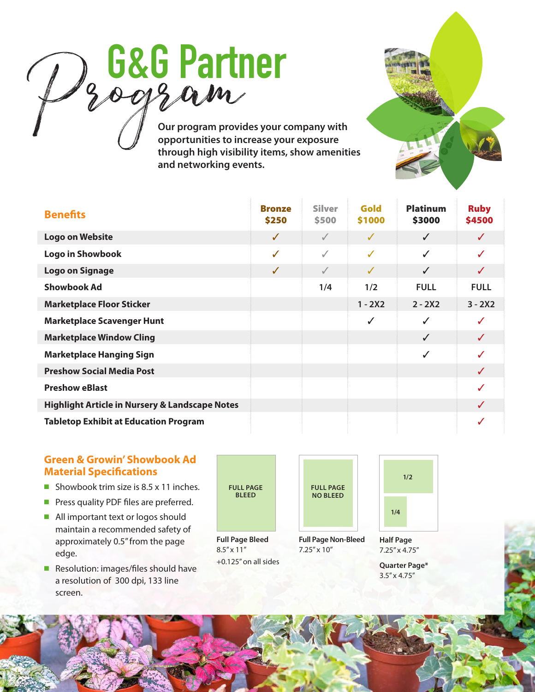

**Our program provides your company with opportunities to increase your exposure through high visibility items, show amenities and networking events.** 

| <b>Benefits</b>                                           | <b>Bronze</b><br>\$250 | <b>Silver</b><br>\$500 | Gold<br>\$1000 | <b>Platinum</b><br>\$3000 | <b>Ruby</b><br>\$4500 |
|-----------------------------------------------------------|------------------------|------------------------|----------------|---------------------------|-----------------------|
| <b>Logo on Website</b>                                    | $\checkmark$           | $\checkmark$           | J              | $\checkmark$              |                       |
| Logo in Showbook                                          | ✓                      | $\checkmark$           | ✓              | $\checkmark$              |                       |
| <b>Logo on Signage</b>                                    | $\checkmark$           | $\checkmark$           | ✓              | $\checkmark$              | J                     |
| <b>Showbook Ad</b>                                        |                        | 1/4                    | 1/2            | <b>FULL</b>               | <b>FULL</b>           |
| <b>Marketplace Floor Sticker</b>                          |                        |                        | $1 - 2X2$      | $2 - 2X2$                 | $3 - 2X2$             |
| <b>Marketplace Scavenger Hunt</b>                         |                        |                        | ✓              | ✓                         | J                     |
| <b>Marketplace Window Cling</b>                           |                        |                        |                | ✓                         |                       |
| <b>Marketplace Hanging Sign</b>                           |                        |                        |                | ✓                         |                       |
| <b>Preshow Social Media Post</b>                          |                        |                        |                |                           |                       |
| <b>Preshow eBlast</b>                                     |                        |                        |                |                           |                       |
| <b>Highlight Article in Nursery &amp; Landscape Notes</b> |                        |                        |                |                           |                       |
| <b>Tabletop Exhibit at Education Program</b>              |                        |                        |                |                           |                       |

# **Green & Growin' Showbook Ad Material Specifications**

- Showbook trim size is  $8.5 \times 11$  inches.
- **Press quality PDF files are preferred.**
- $\blacksquare$  All important text or logos should maintain a recommended safety of approximately 0.5" from the page edge.
- Resolution: images/files should have a resolution of 300 dpi, 133 line screen.

**FULL PAGE BLEED**

**Full Page Bleed**  $8.5'' \times 11''$ +0.125" on all sides



**Full Page Non-Bleed** 7.25" x 10"



**Half Page** 7.25" x 4.75"

**Quarter Page\*** 3.5" x 4.75"